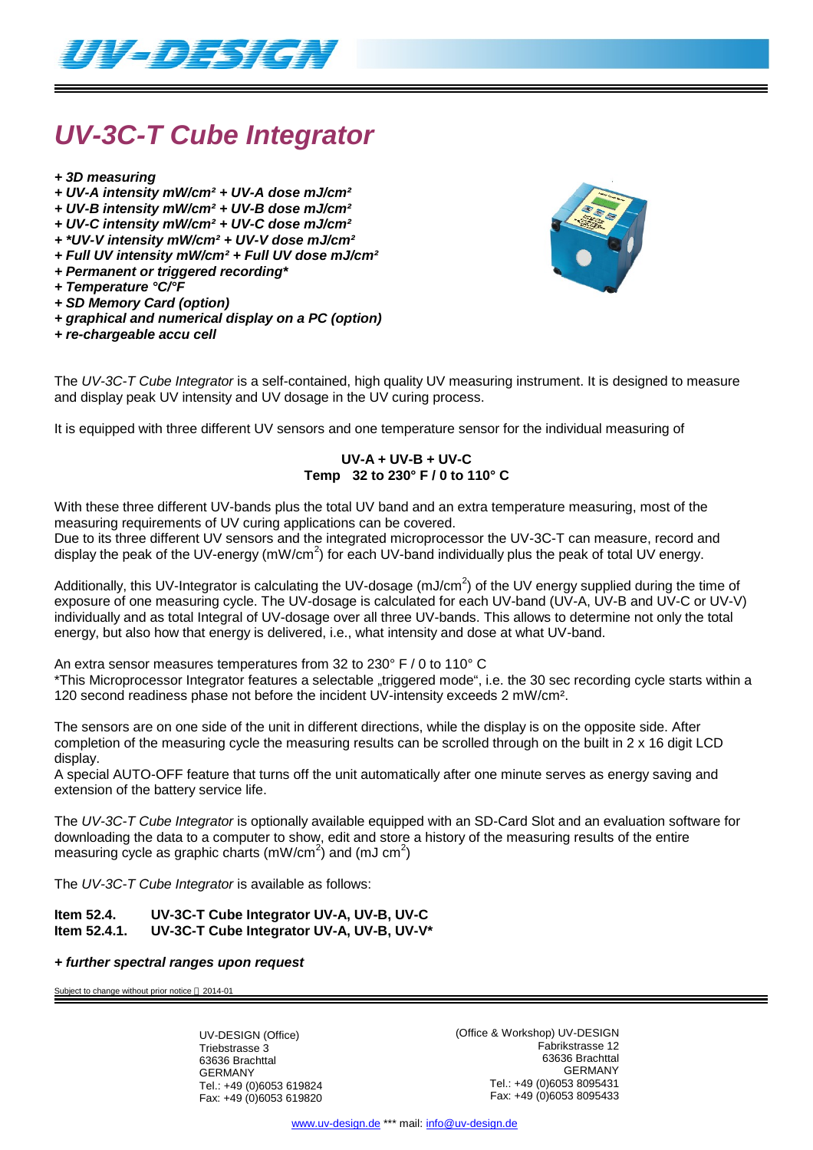

# *UV-3C-T Cube Integrator*

- *+ 3D measuring*
- *+ UV-A intensity mW/cm² + UV-A dose mJ/cm²*
- *+ UV-B intensity mW/cm² + UV-B dose mJ/cm²*
- *+ UV-C intensity mW/cm² + UV-C dose mJ/cm²*
- *+ \*UV-V intensity mW/cm² + UV-V dose mJ/cm²*
- *+ Full UV intensity mW/cm² + Full UV dose mJ/cm²*
- *+ Permanent or triggered recording\**
- *+ Temperature °C/°F*
- *+ SD Memory Card (option)*
- *+ graphical and numerical display on a PC (option)*
- *+ re-chargeable accu cell*



The *UV-3C-T Cube Integrator* is a self-contained, high quality UV measuring instrument. It is designed to measure and display peak UV intensity and UV dosage in the UV curing process.

It is equipped with three different UV sensors and one temperature sensor for the individual measuring of

### **UV-A + UV-B + UV-C Temp 32 to 230° F / 0 to 110° C**

With these three different UV-bands plus the total UV band and an extra temperature measuring, most of the measuring requirements of UV curing applications can be covered.

Due to its three different UV sensors and the integrated microprocessor the UV-3C-T can measure, record and display the peak of the UV-energy (mW/cm<sup>2</sup>) for each UV-band individually plus the peak of total UV energy.

Additionally, this UV-Integrator is calculating the UV-dosage (mJ/cm<sup>2</sup>) of the UV energy supplied during the time of exposure of one measuring cycle. The UV-dosage is calculated for each UV-band (UV-A, UV-B and UV-C or UV-V) individually and as total Integral of UV-dosage over all three UV-bands. This allows to determine not only the total energy, but also how that energy is delivered, i.e., what intensity and dose at what UV-band.

An extra sensor measures temperatures from 32 to 230° F / 0 to 110° C

\*This Microprocessor Integrator features a selectable "triggered mode", i.e. the 30 sec recording cycle starts within a 120 second readiness phase not before the incident UV-intensity exceeds 2 mW/cm².

The sensors are on one side of the unit in different directions, while the display is on the opposite side. After completion of the measuring cycle the measuring results can be scrolled through on the built in 2 x 16 digit LCD display.

A special AUTO-OFF feature that turns off the unit automatically after one minute serves as energy saving and extension of the battery service life.

The *UV-3C-T Cube Integrator* is optionally available equipped with an SD-Card Slot and an evaluation software for downloading the data to a computer to show, edit and store a history of the measuring results of the entire measuring cycle as graphic charts (mW/cm<sup>2</sup>) and (mJ cm<sup>2</sup>)

The *UV-3C-T Cube Integrator* is available as follows:

**Item 52.4. UV-3C-T Cube Integrator UV-A, UV-B, UV-C Item 52.4.1. UV-3C-T Cube Integrator UV-A, UV-B, UV-V\***

#### *+ further spectral ranges upon request*

Subject to change without prior notice  $@$  2014-01

UV-DESIGN (Office) Triebstrasse 3 63636 Brachttal GERMANY Tel.: +49 (0)6053 619824 Fax: +49 (0)6053 619820 (Office & Workshop) UV-DESIGN Fabrikstrasse 12 63636 Brachttal GERMANY Tel.: +49 (0)6053 8095431 Fax: +49 (0)6053 8095433